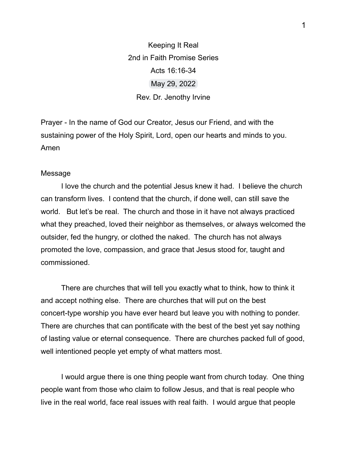Keeping It Real 2nd in Faith Promise Series Acts 16:16-34 May 29, 2022 Rev. Dr. Jenothy Irvine

Prayer - In the name of God our Creator, Jesus our Friend, and with the sustaining power of the Holy Spirit, Lord, open our hearts and minds to you. Amen

## Message

I love the church and the potential Jesus knew it had. I believe the church can transform lives. I contend that the church, if done well, can still save the world. But let's be real. The church and those in it have not always practiced what they preached, loved their neighbor as themselves, or always welcomed the outsider, fed the hungry, or clothed the naked. The church has not always promoted the love, compassion, and grace that Jesus stood for, taught and commissioned.

There are churches that will tell you exactly what to think, how to think it and accept nothing else. There are churches that will put on the best concert-type worship you have ever heard but leave you with nothing to ponder. There are churches that can pontificate with the best of the best yet say nothing of lasting value or eternal consequence. There are churches packed full of good, well intentioned people yet empty of what matters most.

I would argue there is one thing people want from church today. One thing people want from those who claim to follow Jesus, and that is real people who live in the real world, face real issues with real faith. I would argue that people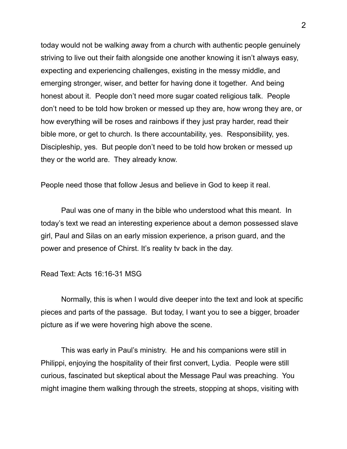today would not be walking away from a church with authentic people genuinely striving to live out their faith alongside one another knowing it isn't always easy, expecting and experiencing challenges, existing in the messy middle, and emerging stronger, wiser, and better for having done it together. And being honest about it. People don't need more sugar coated religious talk. People don't need to be told how broken or messed up they are, how wrong they are, or how everything will be roses and rainbows if they just pray harder, read their bible more, or get to church. Is there accountability, yes. Responsibility, yes. Discipleship, yes. But people don't need to be told how broken or messed up they or the world are. They already know.

People need those that follow Jesus and believe in God to keep it real.

Paul was one of many in the bible who understood what this meant. In today's text we read an interesting experience about a demon possessed slave girl, Paul and Silas on an early mission experience, a prison guard, and the power and presence of Chirst. It's reality tv back in the day.

## Read Text: Acts 16:16-31 MSG

Normally, this is when I would dive deeper into the text and look at specific pieces and parts of the passage. But today, I want you to see a bigger, broader picture as if we were hovering high above the scene.

This was early in Paul's ministry. He and his companions were still in Philippi, enjoying the hospitality of their first convert, Lydia. People were still curious, fascinated but skeptical about the Message Paul was preaching. You might imagine them walking through the streets, stopping at shops, visiting with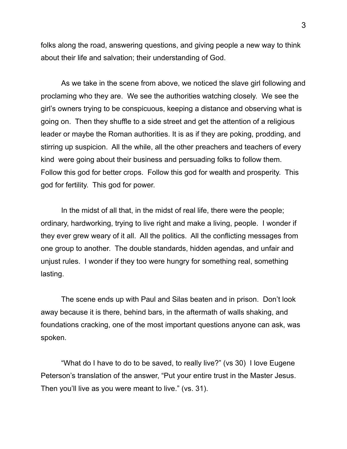folks along the road, answering questions, and giving people a new way to think about their life and salvation; their understanding of God.

As we take in the scene from above, we noticed the slave girl following and proclaming who they are. We see the authorities watching closely. We see the girl's owners trying to be conspicuous, keeping a distance and observing what is going on. Then they shuffle to a side street and get the attention of a religious leader or maybe the Roman authorities. It is as if they are poking, prodding, and stirring up suspicion. All the while, all the other preachers and teachers of every kind were going about their business and persuading folks to follow them. Follow this god for better crops. Follow this god for wealth and prosperity. This god for fertility. This god for power.

In the midst of all that, in the midst of real life, there were the people; ordinary, hardworking, trying to live right and make a living, people. I wonder if they ever grew weary of it all. All the politics. All the conflicting messages from one group to another. The double standards, hidden agendas, and unfair and unjust rules. I wonder if they too were hungry for something real, something lasting.

The scene ends up with Paul and Silas beaten and in prison. Don't look away because it is there, behind bars, in the aftermath of walls shaking, and foundations cracking, one of the most important questions anyone can ask, was spoken.

"What do I have to do to be saved, to really live?" (vs 30) I love Eugene Peterson's translation of the answer, "Put your entire trust in the Master Jesus. Then you'll live as you were meant to live." (vs. 31).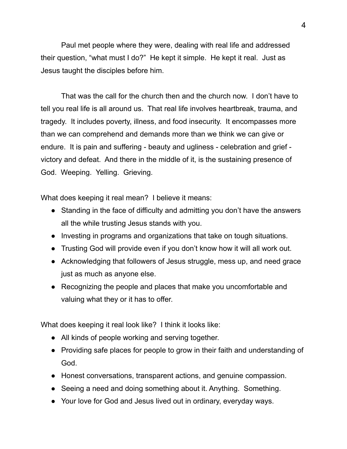Paul met people where they were, dealing with real life and addressed their question, "what must I do?" He kept it simple. He kept it real. Just as Jesus taught the disciples before him.

That was the call for the church then and the church now. I don't have to tell you real life is all around us. That real life involves heartbreak, trauma, and tragedy. It includes poverty, illness, and food insecurity. It encompasses more than we can comprehend and demands more than we think we can give or endure. It is pain and suffering - beauty and ugliness - celebration and grief victory and defeat. And there in the middle of it, is the sustaining presence of God. Weeping. Yelling. Grieving.

What does keeping it real mean? I believe it means:

- Standing in the face of difficulty and admitting you don't have the answers all the while trusting Jesus stands with you.
- Investing in programs and organizations that take on tough situations.
- Trusting God will provide even if you don't know how it will all work out.
- Acknowledging that followers of Jesus struggle, mess up, and need grace just as much as anyone else.
- Recognizing the people and places that make you uncomfortable and valuing what they or it has to offer.

What does keeping it real look like? I think it looks like:

- All kinds of people working and serving together.
- Providing safe places for people to grow in their faith and understanding of God.
- Honest conversations, transparent actions, and genuine compassion.
- Seeing a need and doing something about it. Anything. Something.
- Your love for God and Jesus lived out in ordinary, everyday ways.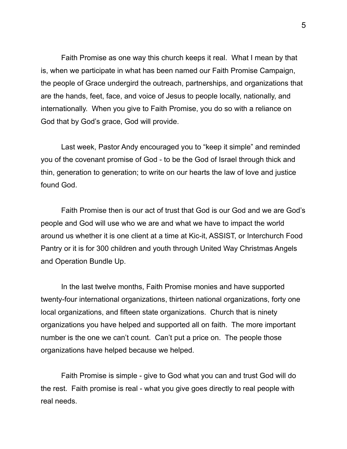Faith Promise as one way this church keeps it real. What I mean by that is, when we participate in what has been named our Faith Promise Campaign, the people of Grace undergird the outreach, partnerships, and organizations that are the hands, feet, face, and voice of Jesus to people locally, nationally, and internationally. When you give to Faith Promise, you do so with a reliance on God that by God's grace, God will provide.

Last week, Pastor Andy encouraged you to "keep it simple" and reminded you of the covenant promise of God - to be the God of Israel through thick and thin, generation to generation; to write on our hearts the law of love and justice found God.

Faith Promise then is our act of trust that God is our God and we are God's people and God will use who we are and what we have to impact the world around us whether it is one client at a time at Kic-it, ASSIST, or Interchurch Food Pantry or it is for 300 children and youth through United Way Christmas Angels and Operation Bundle Up.

In the last twelve months, Faith Promise monies and have supported twenty-four international organizations, thirteen national organizations, forty one local organizations, and fifteen state organizations. Church that is ninety organizations you have helped and supported all on faith. The more important number is the one we can't count. Can't put a price on. The people those organizations have helped because we helped.

Faith Promise is simple - give to God what you can and trust God will do the rest. Faith promise is real - what you give goes directly to real people with real needs.